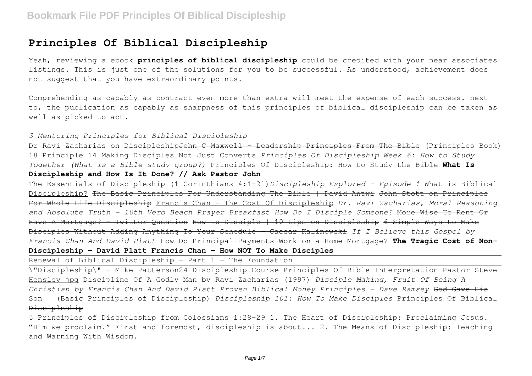# **Principles Of Biblical Discipleship**

Yeah, reviewing a ebook **principles of biblical discipleship** could be credited with your near associates listings. This is just one of the solutions for you to be successful. As understood, achievement does not suggest that you have extraordinary points.

Comprehending as capably as contract even more than extra will meet the expense of each success. next to, the publication as capably as sharpness of this principles of biblical discipleship can be taken as well as picked to act.

## *3 Mentoring Principles for Biblical Discipleship*

Dr Ravi Zacharias on Discipleship<del>John C Maxwell - Leadership Principles From The Bible</del> (Principles Book) 18 Principle 14 Making Disciples Not Just Converts *Principles Of Discipleship Week 6: How to Study Together (What is a Bible study group?)* Principles Of Discipleship: How to Study the Bible **What Is Discipleship and How Is It Done? // Ask Pastor John**

The Essentials of Discipleship (1 Corinthians 4:1-21)*Discipleship Explored - Episode 1* What is Biblical Discipleship? The Basic Principles For Understanding The Bible | David Antwi John Stott on Principles For Whole Life Discipleship Francis Chan - The Cost Of Discipleship *Dr. Ravi Zacharias, Moral Reasoning and Absolute Truth - 10th Vero Beach Prayer Breakfast How Do I Disciple Someone?* More Wise To Rent Or Have A Mortgage? - Twitter Question How to Disciple | 10 tips on Discipleship 6 Simple Ways to Make Disciples Without Adding Anything To Your Schedule - Caesar Kalinowski *If I Believe this Gospel by Francis Chan And David Platt* How Do Principal Payments Work on a Home Mortgage? **The Tragic Cost of Non-Discipleship - David Platt Francis Chan - How NOT To Make Disciples**

Renewal of Biblical Discipleship - Part 1 - The Foundation

\"Discipleship\" - Mike Patterson24 Discipleship Course Principles Of Bible Interpretation Pastor Steve Hensley jpg Discipline Of A Godly Man by Ravi Zacharias (1997) *Disciple Making, Fruit Of Being A Christian by Francis Chan And David Platt Proven Biblical Money Principles - Dave Ramsey* God Gave His Son | (Basic Principles of Discipleship) *Discipleship 101: How To Make Disciples* Principles Of Biblical Discipleship

5 Principles of Discipleship from Colossians 1:28-29 1. The Heart of Discipleship: Proclaiming Jesus. "Him we proclaim." First and foremost, discipleship is about... 2. The Means of Discipleship: Teaching and Warning With Wisdom.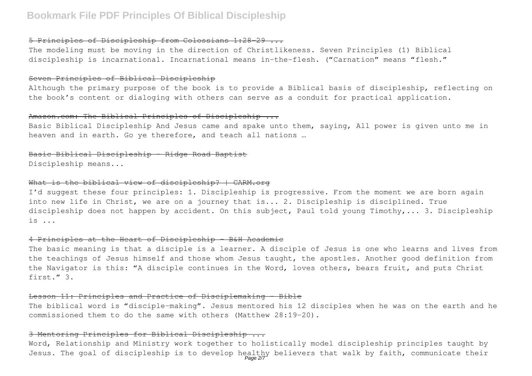### 5 Principles of Discipleship from Colossians 1:28-29 ...

The modeling must be moving in the direction of Christlikeness. Seven Principles (1) Biblical discipleship is incarnational. Incarnational means in-the-flesh. ("Carnation" means "flesh."

#### Seven Principles of Biblical Discipleship

Although the primary purpose of the book is to provide a Biblical basis of discipleship, reflecting on the book's content or dialoging with others can serve as a conduit for practical application.

## Amazon.com: The Biblical Principles of Discipleship ...

Basic Biblical Discipleship And Jesus came and spake unto them, saying, All power is given unto me in heaven and in earth. Go ye therefore, and teach all nations …

## Basic Biblical Discipleship - Ridge Road Baptist

Discipleship means...

### What is the biblical view of discipleship? | CARM.org

I'd suggest these four principles: 1. Discipleship is progressive. From the moment we are born again into new life in Christ, we are on a journey that is... 2. Discipleship is disciplined. True discipleship does not happen by accident. On this subject, Paul told young Timothy,... 3. Discipleship is ...

#### 4 Principles at the Heart of Discipleship - B&H Academic

The basic meaning is that a disciple is a learner. A disciple of Jesus is one who learns and lives from the teachings of Jesus himself and those whom Jesus taught, the apostles. Another good definition from the Navigator is this: "A disciple continues in the Word, loves others, bears fruit, and puts Christ first." 3.

#### Lesson 11: Principles and Practice of Disciplemaking - Bible

The biblical word is "disciple-making". Jesus mentored his 12 disciples when he was on the earth and he commissioned them to do the same with others (Matthew 28:19-20).

#### 3 Mentoring Principles for Biblical Discipleship ...

Word, Relationship and Ministry work together to holistically model discipleship principles taught by Jesus. The goal of discipleship is to develop healthy believers that walk by faith, communicate their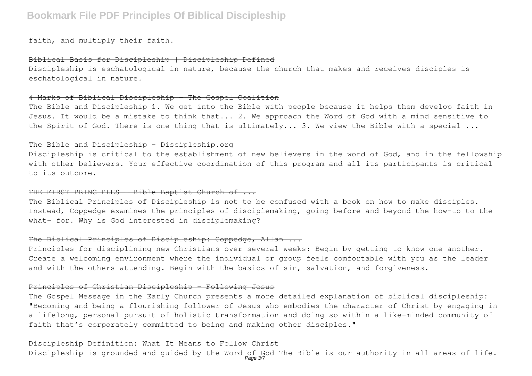faith, and multiply their faith.

## Biblical Basis for Discipleship | Discipleship Defined

Discipleship is eschatological in nature, because the church that makes and receives disciples is eschatological in nature.

### 4 Marks of Biblical Discipleship - The Gospel Coalition

The Bible and Discipleship 1. We get into the Bible with people because it helps them develop faith in Jesus. It would be a mistake to think that... 2. We approach the Word of God with a mind sensitive to the Spirit of God. There is one thing that is ultimately... 3. We view the Bible with a special ...

## The Bible and Discipleship - Discipleship.org

Discipleship is critical to the establishment of new believers in the word of God, and in the fellowship with other believers. Your effective coordination of this program and all its participants is critical to its outcome.

## THE FIRST PRINCIPLES - Bible Baptist Church of ...

The Biblical Principles of Discipleship is not to be confused with a book on how to make disciples. Instead, Coppedge examines the principles of disciplemaking, going before and beyond the how-to to the what- for. Why is God interested in disciplemaking?

### The Biblical Principles of Discipleship: Coppedge, Allan ...

Principles for disciplining new Christians over several weeks: Begin by getting to know one another. Create a welcoming environment where the individual or group feels comfortable with you as the leader and with the others attending. Begin with the basics of sin, salvation, and forgiveness.

### Principles of Christian Discipleship - Following Jesus

The Gospel Message in the Early Church presents a more detailed explanation of biblical discipleship: "Becoming and being a flourishing follower of Jesus who embodies the character of Christ by engaging in a lifelong, personal pursuit of holistic transformation and doing so within a like-minded community of faith that's corporately committed to being and making other disciples."

### Discipleship Definition: What It Means to Follow Christ

Discipleship is grounded and guided by the Word of God The Bible is our authority in all areas of life.<br>Page 37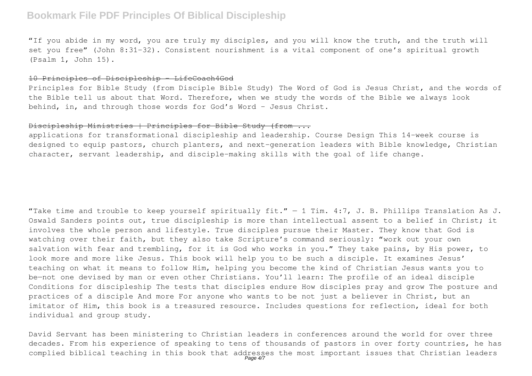"If you abide in my word, you are truly my disciples, and you will know the truth, and the truth will set you free" (John 8:31-32). Consistent nourishment is a vital component of one's spiritual growth (Psalm 1, John 15).

#### 10 Principles of Discipleship – LifeCoach4God

Principles for Bible Study (from Disciple Bible Study) The Word of God is Jesus Christ, and the words of the Bible tell us about that Word. Therefore, when we study the words of the Bible we always look behind, in, and through those words for God's Word – Jesus Christ.

### Discipleship Ministries | Principles for Bible Study (from ...

applications for transformational discipleship and leadership. Course Design This 14-week course is designed to equip pastors, church planters, and next-generation leaders with Bible knowledge, Christian character, servant leadership, and disciple-making skills with the goal of life change.

"Take time and trouble to keep yourself spiritually fit."  $-$  1 Tim. 4:7, J. B. Phillips Translation As J. Oswald Sanders points out, true discipleship is more than intellectual assent to a belief in Christ; it involves the whole person and lifestyle. True disciples pursue their Master. They know that God is watching over their faith, but they also take Scripture's command seriously: "work out your own salvation with fear and trembling, for it is God who works in you." They take pains, by His power, to look more and more like Jesus. This book will help you to be such a disciple. It examines Jesus' teaching on what it means to follow Him, helping you become the kind of Christian Jesus wants you to be—not one devised by man or even other Christians. You'll learn: The profile of an ideal disciple Conditions for discipleship The tests that disciples endure How disciples pray and grow The posture and practices of a disciple And more For anyone who wants to be not just a believer in Christ, but an imitator of Him, this book is a treasured resource. Includes questions for reflection, ideal for both individual and group study.

David Servant has been ministering to Christian leaders in conferences around the world for over three decades. From his experience of speaking to tens of thousands of pastors in over forty countries, he has complied biblical teaching in this book that addresses the most important issues that Christian leaders<br>Page 4/7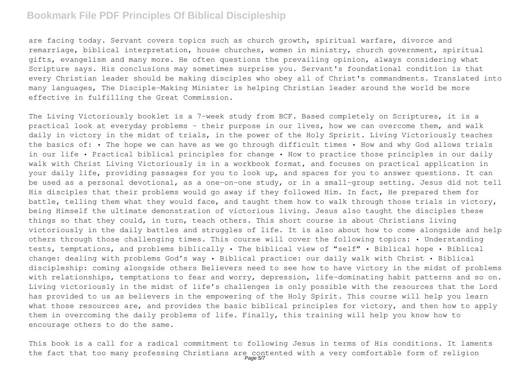are facing today. Servant covers topics such as church growth, spiritual warfare, divorce and remarriage, biblical interpretation, house churches, women in ministry, church government, spiritual gifts, evangelism and many more. He often questions the prevailing opinion, always considering what Scripture says. His conclusions may sometimes surprise you. Servant's foundational condition is that every Christian leader should be making disciples who obey all of Christ's commandments. Translated into many languages, The Disciple-Making Minister is helping Christian leader around the world be more effective in fulfilling the Great Commission.

The Living Victoriously booklet is a 7-week study from BCF. Based completely on Scriptures, it is a practical look at everyday problems - their purpose in our lives, how we can overcome them, and walk daily in victory in the midst of trials, in the power of the Holy Spririt. Living Victoriously teaches the basics of: • The hope we can have as we go through difficult times • How and why God allows trials in our life • Practical biblical principles for change • How to practice those principles in our daily walk with Christ Living Victoriously is in a workbook format, and focuses on practical application in your daily life, providing passages for you to look up, and spaces for you to answer questions. It can be used as a personal devotional, as a one-on-one study, or in a small-group setting. Jesus did not tell His disciples that their problems would go away if they followed Him. In fact, He prepared them for battle, telling them what they would face, and taught them how to walk through those trials in victory, being Himself the ultimate demonstration of victorious living. Jesus also taught the disciples these things so that they could, in turn, teach others. This short course is about Christians living victoriously in the daily battles and struggles of life. It is also about how to come alongside and help others through those challenging times. This course will cover the following topics: • Understanding tests, temptations, and problems biblically • The biblical view of "self" • Biblical hope • Biblical change: dealing with problems God's way • Biblical practice: our daily walk with Christ • Biblical discipleship: coming alongside others Believers need to see how to have victory in the midst of problems with relationships, temptations to fear and worry, depression, life-dominating habit patterns and so on. Living victoriously in the midst of life's challenges is only possible with the resources that the Lord has provided to us as believers in the empowering of the Holy Spirit. This course will help you learn what those resources are, and provides the basic biblical principles for victory, and then how to apply them in overcoming the daily problems of life. Finally, this training will help you know how to encourage others to do the same.

This book is a call for a radical commitment to following Jesus in terms of His conditions. It laments the fact that too many professing Christians are contented with a very comfortable form of religion<br>Page57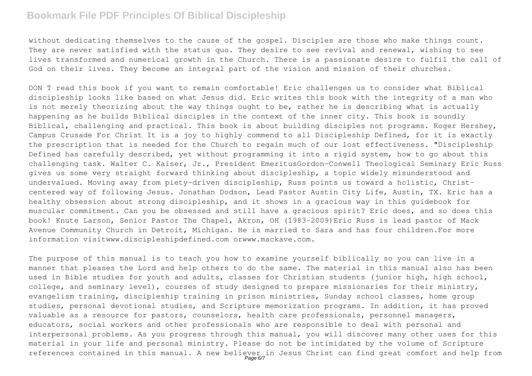without dedicating themselves to the cause of the gospel. Disciples are those who make things count. They are never satisfied with the status quo. They desire to see revival and renewal, wishing to see lives transformed and numerical growth in the Church. There is a passionate desire to fulfil the call of God on their lives. They become an integral part of the vision and mission of their churches.

DON T read this book if you want to remain comfortable! Eric challenges us to consider what Biblical discipleship looks like based on what Jesus did. Eric writes this book with the integrity of a man who is not merely theorizing about the way things ought to be, rather he is describing what is actually happening as he builds Biblical disciples in the context of the inner city. This book is soundly Biblical, challenging and practical. This book is about building disciples not programs. Roger Hershey, Campus Crusade For Christ It is a joy to highly commend to all Discipleship Defined, for it is exactly the prescription that is needed for the Church to regain much of our lost effectiveness. "Discipleship Defined has carefully described, yet without programming it into a rigid system, how to go about this challenging task. Walter C. Kaiser, Jr., President EmeritusGordon-Conwell Theological Seminary Eric Russ gives us some very straight forward thinking about discipleship, a topic widely misunderstood and undervalued. Moving away from piety-driven discipleship, Russ points us toward a holistic, Christcentered way of following Jesus. Jonathan Dodson, Lead Pastor Austin City Life, Austin, TX. Eric has a healthy obsession about strong discipleship, and it shows in a gracious way in this guidebook for muscular commitment. Can you be obsessed and still have a gracious spirit? Eric does, and so does this book! Knute Larson, Senior Pastor The Chapel, Akron, OH (1983-2009)Eric Russ is lead pastor of Mack Avenue Community Church in Detroit, Michigan. He is married to Sara and has four children.For more information visitwww.discipleshipdefined.com orwww.mackave.com.

The purpose of this manual is to teach you how to examine yourself biblically so you can live in a manner that pleases the Lord and help others to do the same. The material in this manual also has been used in Bible studies for youth and adults, classes for Christian students (junior high, high school, college, and seminary level), courses of study designed to prepare missionaries for their ministry, evangelism training, discipleship training in prison ministries, Sunday school classes, home group studies, personal devotional studies, and Scripture memorization programs. In addition, it has proved valuable as a resource for pastors, counselors, health care professionals, personnel managers, educators, social workers and other professionals who are responsible to deal with personal and interpersonal problems. As you progress through this manual, you will discover many other uses for this material in your life and personal ministry. Please do not be intimidated by the volume of Scripture references contained in this manual. A new believer in Jesus Christ can find great comfort and help from<br>Page 6/7